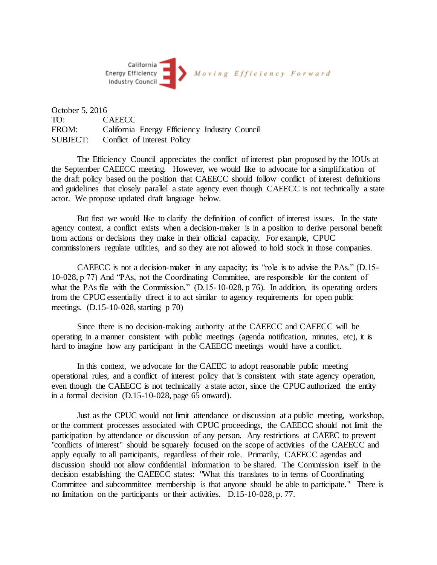

October 5, 2016 TO: CAEECC FROM: California Energy Efficiency Industry Council SUBJECT: Conflict of Interest Policy

The Efficiency Council appreciates the conflict of interest plan proposed by the IOUs at the September CAEECC meeting. However, we would like to advocate for a simplification of the draft policy based on the position that CAEECC should follow conflict of interest definitions and guidelines that closely parallel a state agency even though CAEECC is not technically a state actor. We propose updated draft language below.

But first we would like to clarify the definition of conflict of interest issues. In the state agency context, a conflict exists when a decision-maker is in a position to derive personal benefit from actions or decisions they make in their official capacity. For example, CPUC commissioners regulate utilities, and so they are not allowed to hold stock in those companies.

CAEECC is not a decision-maker in any capacity; its "role is to advise the PAs." (D.15- 10-028, p 77) And "PAs, not the Coordinating Committee, are responsible for the content of what the PAs file with the Commission." (D.15-10-028, p.76). In addition, its operating orders from the CPUC essentially direct it to act similar to agency requirements for open public meetings. (D.15-10-028, starting p 70)

Since there is no decision-making authority at the CAEECC and CAEECC will be operating in a manner consistent with public meetings (agenda notification, minutes, etc), it is hard to imagine how any participant in the CAEECC meetings would have a conflict.

In this context, we advocate for the CAEEC to adopt reasonable public meeting operational rules, and a conflict of interest policy that is consistent with state agency operation, even though the CAEECC is not technically a state actor, since the CPUC authorized the entity in a formal decision (D.15-10-028, page 65 onward).

Just as the CPUC would not limit attendance or discussion at a public meeting, workshop, or the comment processes associated with CPUC proceedings, the CAEECC should not limit the participation by attendance or discussion of any person. Any restrictions at CAEEC to prevent "conflicts of interest" should be squarely focused on the scope of activities of the CAEECC and apply equally to all participants, regardless of their role. Primarily, CAEECC agendas and discussion should not allow confidential information to be shared. The Commission itself in the decision establishing the CAEECC states: "What this translates to in terms of Coordinating Committee and subcommittee membership is that anyone should be able to participate." There is no limitation on the participants or their activities. D.15-10-028, p. 77.